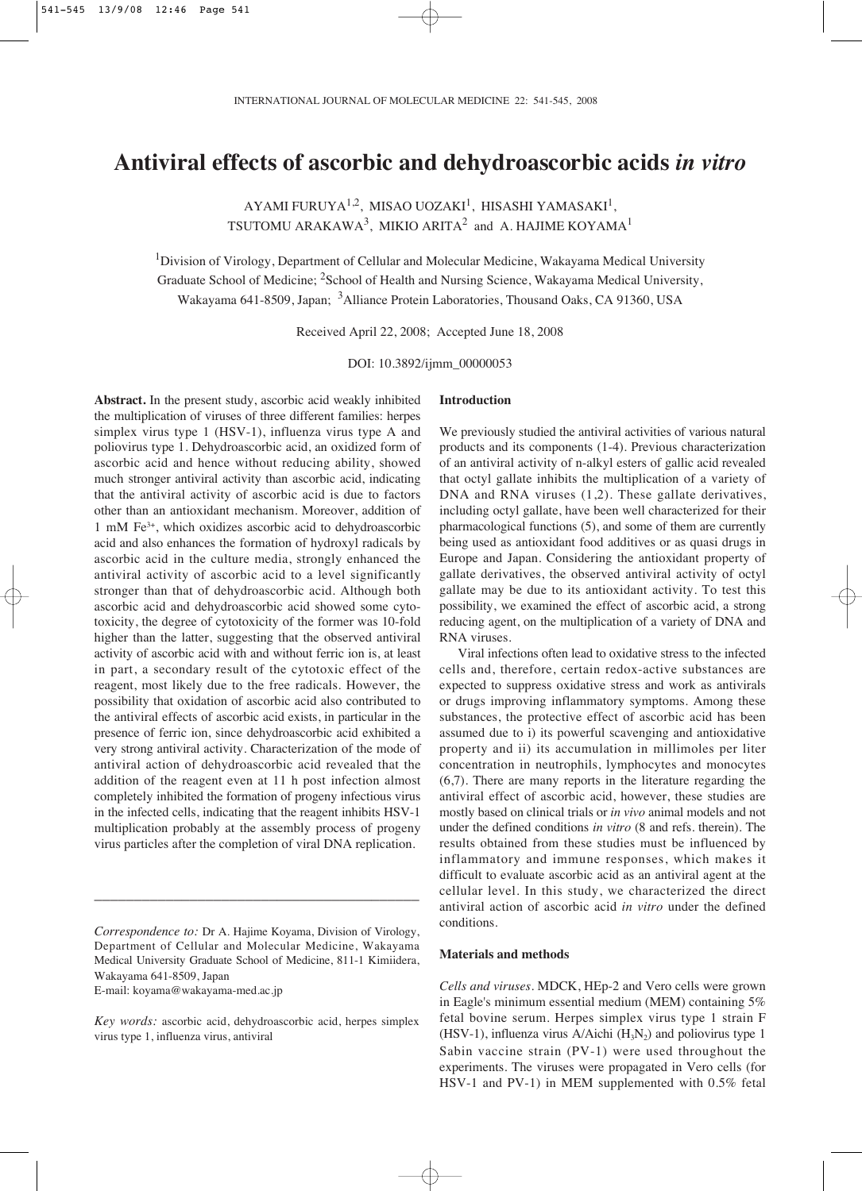# **Antiviral effects of ascorbic and dehydroascorbic acids** *in vitro*

AYAMI FURUYA<sup>1,2</sup>, MISAO UOZAKI<sup>1</sup>, HISASHI YAMASAKI<sup>1</sup>, TSUTOMU ARAKAWA<sup>3</sup>, MIKIO ARITA<sup>2</sup> and A. HAJIME KOYAMA<sup>1</sup>

<sup>1</sup>Division of Virology, Department of Cellular and Molecular Medicine, Wakayama Medical University Graduate School of Medicine; <sup>2</sup>School of Health and Nursing Science, Wakayama Medical University, Wakayama 641-8509, Japan; 3Alliance Protein Laboratories, Thousand Oaks, CA 91360, USA

Received April 22, 2008; Accepted June 18, 2008

DOI: 10.3892/ijmm\_00000053

**Abstract.** In the present study, ascorbic acid weakly inhibited the multiplication of viruses of three different families: herpes simplex virus type 1 (HSV-1), influenza virus type A and poliovirus type 1. Dehydroascorbic acid, an oxidized form of ascorbic acid and hence without reducing ability, showed much stronger antiviral activity than ascorbic acid, indicating that the antiviral activity of ascorbic acid is due to factors other than an antioxidant mechanism. Moreover, addition of 1 mM Fe3+, which oxidizes ascorbic acid to dehydroascorbic acid and also enhances the formation of hydroxyl radicals by ascorbic acid in the culture media, strongly enhanced the antiviral activity of ascorbic acid to a level significantly stronger than that of dehydroascorbic acid. Although both ascorbic acid and dehydroascorbic acid showed some cytotoxicity, the degree of cytotoxicity of the former was 10-fold higher than the latter, suggesting that the observed antiviral activity of ascorbic acid with and without ferric ion is, at least in part, a secondary result of the cytotoxic effect of the reagent, most likely due to the free radicals. However, the possibility that oxidation of ascorbic acid also contributed to the antiviral effects of ascorbic acid exists, in particular in the presence of ferric ion, since dehydroascorbic acid exhibited a very strong antiviral activity. Characterization of the mode of antiviral action of dehydroascorbic acid revealed that the addition of the reagent even at 11 h post infection almost completely inhibited the formation of progeny infectious virus in the infected cells, indicating that the reagent inhibits HSV-1 multiplication probably at the assembly process of progeny virus particles after the completion of viral DNA replication.

\_\_\_\_\_\_\_\_\_\_\_\_\_\_\_\_\_\_\_\_\_\_\_\_\_\_\_\_\_\_\_\_\_\_\_\_\_\_\_\_\_

E-mail: koyama@wakayama-med.ac.jp

#### **Introduction**

We previously studied the antiviral activities of various natural products and its components (1-4). Previous characterization of an antiviral activity of n-alkyl esters of gallic acid revealed that octyl gallate inhibits the multiplication of a variety of DNA and RNA viruses  $(1,2)$ . These gallate derivatives, including octyl gallate, have been well characterized for their pharmacological functions (5), and some of them are currently being used as antioxidant food additives or as quasi drugs in Europe and Japan. Considering the antioxidant property of gallate derivatives, the observed antiviral activity of octyl gallate may be due to its antioxidant activity. To test this possibility, we examined the effect of ascorbic acid, a strong reducing agent, on the multiplication of a variety of DNA and RNA viruses.

Viral infections often lead to oxidative stress to the infected cells and, therefore, certain redox-active substances are expected to suppress oxidative stress and work as antivirals or drugs improving inflammatory symptoms. Among these substances, the protective effect of ascorbic acid has been assumed due to i) its powerful scavenging and antioxidative property and ii) its accumulation in millimoles per liter concentration in neutrophils, lymphocytes and monocytes (6,7). There are many reports in the literature regarding the antiviral effect of ascorbic acid, however, these studies are mostly based on clinical trials or *in vivo* animal models and not under the defined conditions *in vitro* (8 and refs. therein). The results obtained from these studies must be influenced by inflammatory and immune responses, which makes it difficult to evaluate ascorbic acid as an antiviral agent at the cellular level. In this study, we characterized the direct antiviral action of ascorbic acid *in vitro* under the defined conditions.

## **Materials and methods**

*Cells and viruses*. MDCK, HEp-2 and Vero cells were grown in Eagle's minimum essential medium (MEM) containing 5% fetal bovine serum. Herpes simplex virus type 1 strain F (HSV-1), influenza virus A/Aichi  $(H_3N_2)$  and poliovirus type 1 Sabin vaccine strain (PV-1) were used throughout the experiments. The viruses were propagated in Vero cells (for HSV-1 and PV-1) in MEM supplemented with 0.5% fetal

*Correspondence to:* Dr A. Hajime Koyama, Division of Virology, Department of Cellular and Molecular Medicine, Wakayama Medical University Graduate School of Medicine, 811-1 Kimiidera, Wakayama 641-8509, Japan

*Key words:* ascorbic acid, dehydroascorbic acid, herpes simplex virus type 1, influenza virus, antiviral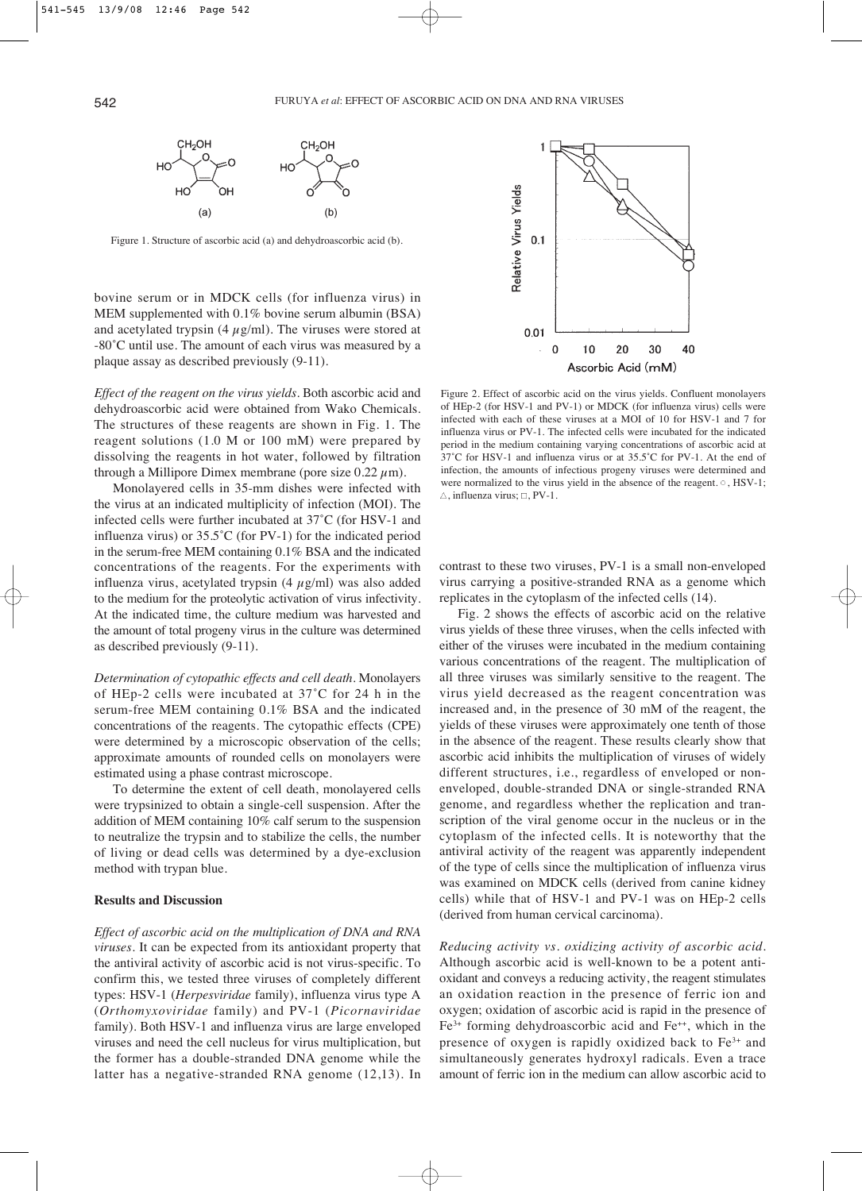

Figure 1. Structure of ascorbic acid (a) and dehydroascorbic acid (b).

bovine serum or in MDCK cells (for influenza virus) in MEM supplemented with 0.1% bovine serum albumin (BSA) and acetylated trypsin (4  $\mu$ g/ml). The viruses were stored at -80˚C until use. The amount of each virus was measured by a plaque assay as described previously (9-11).

*Effect of the reagent on the virus yields*. Both ascorbic acid and dehydroascorbic acid were obtained from Wako Chemicals. The structures of these reagents are shown in Fig. 1. The reagent solutions (1.0 M or 100 mM) were prepared by dissolving the reagents in hot water, followed by filtration through a Millipore Dimex membrane (pore size  $0.22 \mu$ m).

Monolayered cells in 35-mm dishes were infected with the virus at an indicated multiplicity of infection (MOI). The infected cells were further incubated at 37˚C (for HSV-1 and influenza virus) or 35.5˚C (for PV-1) for the indicated period in the serum-free MEM containing 0.1% BSA and the indicated concentrations of the reagents. For the experiments with influenza virus, acetylated trypsin  $(4 \mu g/ml)$  was also added to the medium for the proteolytic activation of virus infectivity. At the indicated time, the culture medium was harvested and the amount of total progeny virus in the culture was determined as described previously (9-11).

*Determination of cytopathic effects and cell death*. Monolayers of HEp-2 cells were incubated at 37˚C for 24 h in the serum-free MEM containing 0.1% BSA and the indicated concentrations of the reagents. The cytopathic effects (CPE) were determined by a microscopic observation of the cells; approximate amounts of rounded cells on monolayers were estimated using a phase contrast microscope.

To determine the extent of cell death, monolayered cells were trypsinized to obtain a single-cell suspension. After the addition of MEM containing 10% calf serum to the suspension to neutralize the trypsin and to stabilize the cells, the number of living or dead cells was determined by a dye-exclusion method with trypan blue.

#### **Results and Discussion**

*Effect of ascorbic acid on the multiplication of DNA and RNA viruses*. It can be expected from its antioxidant property that the antiviral activity of ascorbic acid is not virus-specific. To confirm this, we tested three viruses of completely different types: HSV-1 (*Herpesviridae* family), influenza virus type A (*Orthomyxoviridae* family) and PV-1 (*Picornaviridae* family). Both HSV-1 and influenza virus are large enveloped viruses and need the cell nucleus for virus multiplication, but the former has a double-stranded DNA genome while the latter has a negative-stranded RNA genome (12,13). In



Figure 2. Effect of ascorbic acid on the virus yields. Confluent monolayers of HEp-2 (for HSV-1 and PV-1) or MDCK (for influenza virus) cells were infected with each of these viruses at a MOI of 10 for HSV-1 and 7 for influenza virus or PV-1. The infected cells were incubated for the indicated period in the medium containing varying concentrations of ascorbic acid at 37˚C for HSV-1 and influenza virus or at 35.5˚C for PV-1. At the end of infection, the amounts of infectious progeny viruses were determined and were normalized to the virus yield in the absence of the reagent.  $\circ$ , HSV-1; Δ, influenza virus; ∫, PV-1.

contrast to these two viruses, PV-1 is a small non-enveloped virus carrying a positive-stranded RNA as a genome which replicates in the cytoplasm of the infected cells (14).

Fig. 2 shows the effects of ascorbic acid on the relative virus yields of these three viruses, when the cells infected with either of the viruses were incubated in the medium containing various concentrations of the reagent. The multiplication of all three viruses was similarly sensitive to the reagent. The virus yield decreased as the reagent concentration was increased and, in the presence of 30 mM of the reagent, the yields of these viruses were approximately one tenth of those in the absence of the reagent. These results clearly show that ascorbic acid inhibits the multiplication of viruses of widely different structures, i.e., regardless of enveloped or nonenveloped, double-stranded DNA or single-stranded RNA genome, and regardless whether the replication and transcription of the viral genome occur in the nucleus or in the cytoplasm of the infected cells. It is noteworthy that the antiviral activity of the reagent was apparently independent of the type of cells since the multiplication of influenza virus was examined on MDCK cells (derived from canine kidney cells) while that of HSV-1 and PV-1 was on HEp-2 cells (derived from human cervical carcinoma).

*Reducing activity vs. oxidizing activity of ascorbic acid*. Although ascorbic acid is well-known to be a potent antioxidant and conveys a reducing activity, the reagent stimulates an oxidation reaction in the presence of ferric ion and oxygen; oxidation of ascorbic acid is rapid in the presence of  $Fe<sup>3+</sup>$  forming dehydroascorbic acid and  $Fe<sup>++</sup>$ , which in the presence of oxygen is rapidly oxidized back to Fe3+ and simultaneously generates hydroxyl radicals. Even a trace amount of ferric ion in the medium can allow ascorbic acid to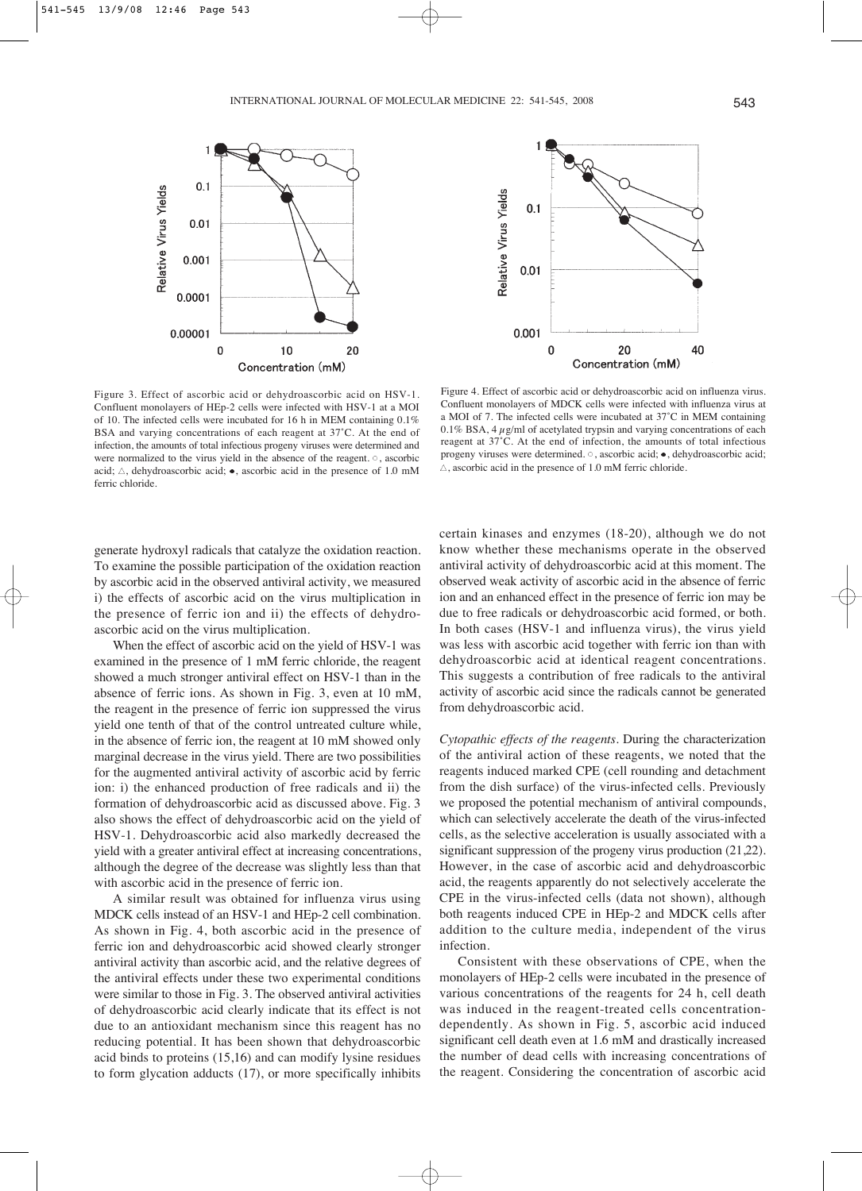

Figure 3. Effect of ascorbic acid or dehydroascorbic acid on HSV-1. Confluent monolayers of HEp-2 cells were infected with HSV-1 at a MOI of 10. The infected cells were incubated for 16 h in MEM containing 0.1% BSA and varying concentrations of each reagent at 37˚C. At the end of infection, the amounts of total infectious progeny viruses were determined and were normalized to the virus yield in the absence of the reagent.  $\circ$ , ascorbic acid; Δ, dehydroascorbic acid; •, ascorbic acid in the presence of 1.0 mM ferric chloride.



Figure 4. Effect of ascorbic acid or dehydroascorbic acid on influenza virus. Confluent monolayers of MDCK cells were infected with influenza virus at a MOI of 7. The infected cells were incubated at 37˚C in MEM containing 0.1% BSA, 4  $\mu$ g/ml of acetylated trypsin and varying concentrations of each reagent at 37˚C. At the end of infection, the amounts of total infectious progeny viruses were determined.  $\circ$ , ascorbic acid;  $\bullet$ , dehydroascorbic acid;  $\triangle$ , ascorbic acid in the presence of 1.0 mM ferric chloride.

generate hydroxyl radicals that catalyze the oxidation reaction. To examine the possible participation of the oxidation reaction by ascorbic acid in the observed antiviral activity, we measured i) the effects of ascorbic acid on the virus multiplication in the presence of ferric ion and ii) the effects of dehydroascorbic acid on the virus multiplication.

When the effect of ascorbic acid on the yield of HSV-1 was examined in the presence of 1 mM ferric chloride, the reagent showed a much stronger antiviral effect on HSV-1 than in the absence of ferric ions. As shown in Fig. 3, even at 10 mM, the reagent in the presence of ferric ion suppressed the virus yield one tenth of that of the control untreated culture while, in the absence of ferric ion, the reagent at 10 mM showed only marginal decrease in the virus yield. There are two possibilities for the augmented antiviral activity of ascorbic acid by ferric ion: i) the enhanced production of free radicals and ii) the formation of dehydroascorbic acid as discussed above. Fig. 3 also shows the effect of dehydroascorbic acid on the yield of HSV-1. Dehydroascorbic acid also markedly decreased the yield with a greater antiviral effect at increasing concentrations, although the degree of the decrease was slightly less than that with ascorbic acid in the presence of ferric ion.

A similar result was obtained for influenza virus using MDCK cells instead of an HSV-1 and HEp-2 cell combination. As shown in Fig. 4, both ascorbic acid in the presence of ferric ion and dehydroascorbic acid showed clearly stronger antiviral activity than ascorbic acid, and the relative degrees of the antiviral effects under these two experimental conditions were similar to those in Fig. 3. The observed antiviral activities of dehydroascorbic acid clearly indicate that its effect is not due to an antioxidant mechanism since this reagent has no reducing potential. It has been shown that dehydroascorbic acid binds to proteins (15,16) and can modify lysine residues to form glycation adducts (17), or more specifically inhibits

certain kinases and enzymes (18-20), although we do not know whether these mechanisms operate in the observed antiviral activity of dehydroascorbic acid at this moment. The observed weak activity of ascorbic acid in the absence of ferric ion and an enhanced effect in the presence of ferric ion may be due to free radicals or dehydroascorbic acid formed, or both. In both cases (HSV-1 and influenza virus), the virus yield was less with ascorbic acid together with ferric ion than with dehydroascorbic acid at identical reagent concentrations. This suggests a contribution of free radicals to the antiviral activity of ascorbic acid since the radicals cannot be generated from dehydroascorbic acid.

*Cytopathic effects of the reagents*. During the characterization of the antiviral action of these reagents, we noted that the reagents induced marked CPE (cell rounding and detachment from the dish surface) of the virus-infected cells. Previously we proposed the potential mechanism of antiviral compounds, which can selectively accelerate the death of the virus-infected cells, as the selective acceleration is usually associated with a significant suppression of the progeny virus production (21,22). However, in the case of ascorbic acid and dehydroascorbic acid, the reagents apparently do not selectively accelerate the CPE in the virus-infected cells (data not shown), although both reagents induced CPE in HEp-2 and MDCK cells after addition to the culture media, independent of the virus infection.

Consistent with these observations of CPE, when the monolayers of HEp-2 cells were incubated in the presence of various concentrations of the reagents for 24 h, cell death was induced in the reagent-treated cells concentrationdependently. As shown in Fig. 5, ascorbic acid induced significant cell death even at 1.6 mM and drastically increased the number of dead cells with increasing concentrations of the reagent. Considering the concentration of ascorbic acid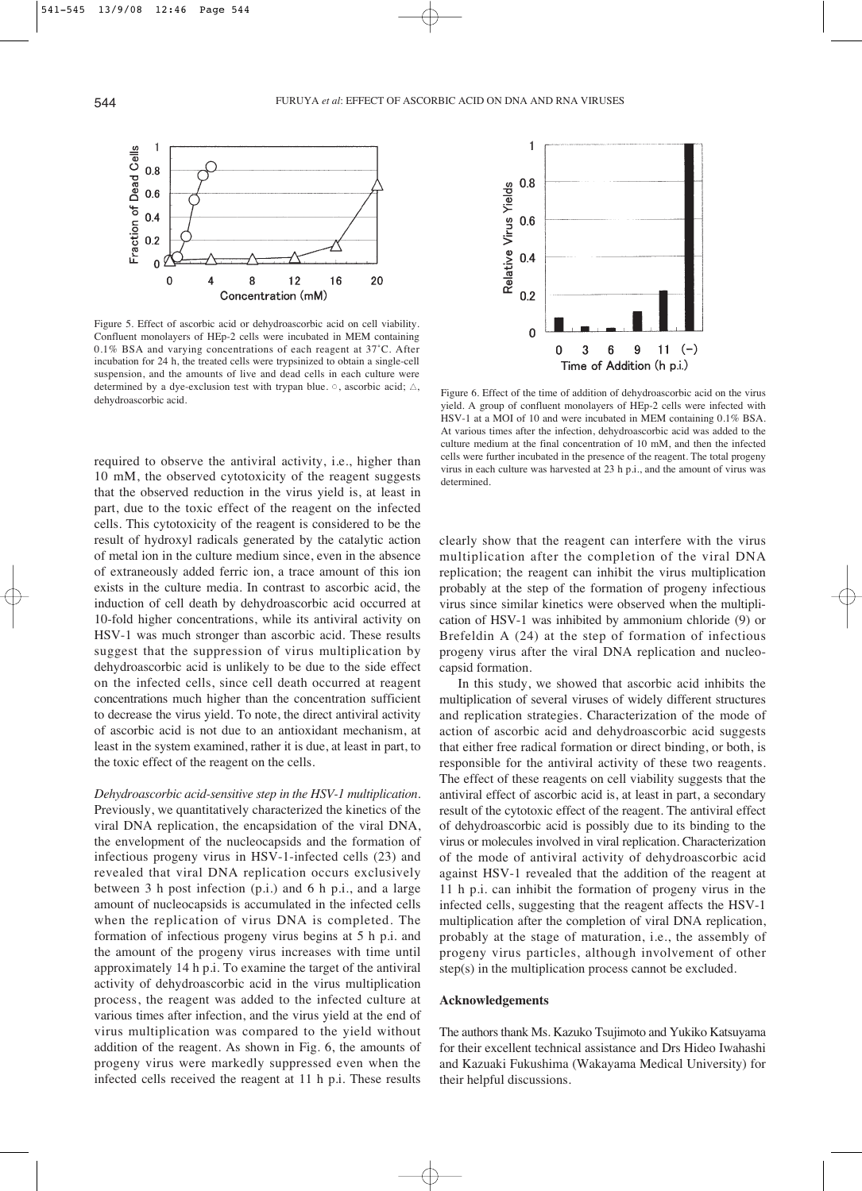

Figure 5. Effect of ascorbic acid or dehydroascorbic acid on cell viability. Confluent monolayers of HEp-2 cells were incubated in MEM containing 0.1% BSA and varying concentrations of each reagent at 37˚C. After incubation for 24 h, the treated cells were trypsinized to obtain a single-cell suspension, and the amounts of live and dead cells in each culture were determined by a dye-exclusion test with trypan blue. o, ascorbic acid; Δ, determined by a dye-exerusion test with trypan blue.  $\vee$ , ascorbic acid,  $\triangle$ , Figure 6. Effect of the time of addition of dehydroascorbic acid on the virus dehydroascorbic acid.

required to observe the antiviral activity, i.e., higher than 10 mM, the observed cytotoxicity of the reagent suggests that the observed reduction in the virus yield is, at least in part, due to the toxic effect of the reagent on the infected cells. This cytotoxicity of the reagent is considered to be the result of hydroxyl radicals generated by the catalytic action of metal ion in the culture medium since, even in the absence of extraneously added ferric ion, a trace amount of this ion exists in the culture media. In contrast to ascorbic acid, the induction of cell death by dehydroascorbic acid occurred at 10-fold higher concentrations, while its antiviral activity on HSV-1 was much stronger than ascorbic acid. These results suggest that the suppression of virus multiplication by dehydroascorbic acid is unlikely to be due to the side effect on the infected cells, since cell death occurred at reagent concentrations much higher than the concentration sufficient to decrease the virus yield. To note, the direct antiviral activity of ascorbic acid is not due to an antioxidant mechanism, at least in the system examined, rather it is due, at least in part, to the toxic effect of the reagent on the cells.

*Dehydroascorbic acid-sensitive step in the HSV-1 multiplication*. Previously, we quantitatively characterized the kinetics of the viral DNA replication, the encapsidation of the viral DNA, the envelopment of the nucleocapsids and the formation of infectious progeny virus in HSV-1-infected cells (23) and revealed that viral DNA replication occurs exclusively between 3 h post infection (p.i.) and 6 h p.i., and a large amount of nucleocapsids is accumulated in the infected cells when the replication of virus DNA is completed. The formation of infectious progeny virus begins at 5 h p.i. and the amount of the progeny virus increases with time until approximately 14 h p.i. To examine the target of the antiviral activity of dehydroascorbic acid in the virus multiplication process, the reagent was added to the infected culture at various times after infection, and the virus yield at the end of virus multiplication was compared to the yield without addition of the reagent. As shown in Fig. 6, the amounts of progeny virus were markedly suppressed even when the infected cells received the reagent at 11 h p.i. These results



yield. A group of confluent monolayers of HEp-2 cells were infected with HSV-1 at a MOI of 10 and were incubated in MEM containing 0.1% BSA. At various times after the infection, dehydroascorbic acid was added to the culture medium at the final concentration of 10 mM, and then the infected cells were further incubated in the presence of the reagent. The total progeny virus in each culture was harvested at 23 h p.i., and the amount of virus was determined.

clearly show that the reagent can interfere with the virus multiplication after the completion of the viral DNA replication; the reagent can inhibit the virus multiplication probably at the step of the formation of progeny infectious virus since similar kinetics were observed when the multiplication of HSV-1 was inhibited by ammonium chloride (9) or Brefeldin A (24) at the step of formation of infectious progeny virus after the viral DNA replication and nucleocapsid formation.

In this study, we showed that ascorbic acid inhibits the multiplication of several viruses of widely different structures and replication strategies. Characterization of the mode of action of ascorbic acid and dehydroascorbic acid suggests that either free radical formation or direct binding, or both, is responsible for the antiviral activity of these two reagents. The effect of these reagents on cell viability suggests that the antiviral effect of ascorbic acid is, at least in part, a secondary result of the cytotoxic effect of the reagent. The antiviral effect of dehydroascorbic acid is possibly due to its binding to the virus or molecules involved in viral replication. Characterization of the mode of antiviral activity of dehydroascorbic acid against HSV-1 revealed that the addition of the reagent at 11 h p.i. can inhibit the formation of progeny virus in the infected cells, suggesting that the reagent affects the HSV-1 multiplication after the completion of viral DNA replication, probably at the stage of maturation, i.e., the assembly of progeny virus particles, although involvement of other step(s) in the multiplication process cannot be excluded.

### **Acknowledgements**

The authors thank Ms. Kazuko Tsujimoto and Yukiko Katsuyama for their excellent technical assistance and Drs Hideo Iwahashi and Kazuaki Fukushima (Wakayama Medical University) for their helpful discussions.